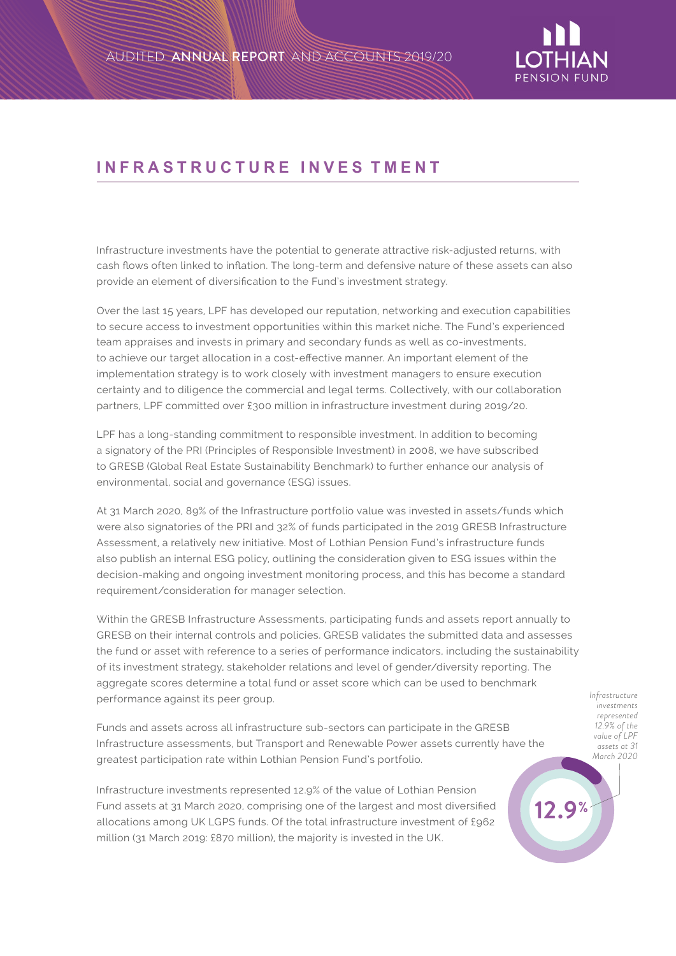

## **INFRASTRUCTURE I NVES TMENT**

Infrastructure investments have the potential to generate attractive risk-adjusted returns, with cash flows often linked to inflation. The long-term and defensive nature of these assets can also provide an element of diversification to the Fund's investment strategy.

Over the last 15 years, LPF has developed our reputation, networking and execution capabilities to secure access to investment opportunities within this market niche. The Fund's experienced team appraises and invests in primary and secondary funds as well as co-investments, to achieve our target allocation in a cost-effective manner. An important element of the implementation strategy is to work closely with investment managers to ensure execution certainty and to diligence the commercial and legal terms. Collectively, with our collaboration partners, LPF committed over £300 million in infrastructure investment during 2019/20.

LPF has a long-standing commitment to responsible investment. In addition to becoming a signatory of the PRI (Principles of Responsible Investment) in 2008, we have subscribed to GRESB (Global Real Estate Sustainability Benchmark) to further enhance our analysis of environmental, social and governance (ESG) issues.

At 31 March 2020, 89% of the Infrastructure portfolio value was invested in assets/funds which were also signatories of the PRI and 32% of funds participated in the 2019 GRESB Infrastructure Assessment, a relatively new initiative. Most of Lothian Pension Fund's infrastructure funds also publish an internal ESG policy, outlining the consideration given to ESG issues within the decision-making and ongoing investment monitoring process, and this has become a standard requirement/consideration for manager selection.

Within the GRESB Infrastructure Assessments, participating funds and assets report annually to GRESB on their internal controls and policies. GRESB validates the submitted data and assesses the fund or asset with reference to a series of performance indicators, including the sustainability of its investment strategy, stakeholder relations and level of gender/diversity reporting. The aggregate scores determine a total fund or asset score which can be used to benchmark performance against its peer group.

Funds and assets across all infrastructure sub-sectors can participate in the GRESB Infrastructure assessments, but Transport and Renewable Power assets currently have the greatest participation rate within Lothian Pension Fund's portfolio.

Infrastructure investments represented 12.9% of the value of Lothian Pension Fund assets at 31 March 2020, comprising one of the largest and most diversified allocations among UK LGPS funds. Of the total infrastructure investment of £962 million (31 March 2019: £870 million), the majority is invested in the UK.

*Infrastructure investments represented 12.9% of the value of LPF assets at 31 March 2020*

**12.9%**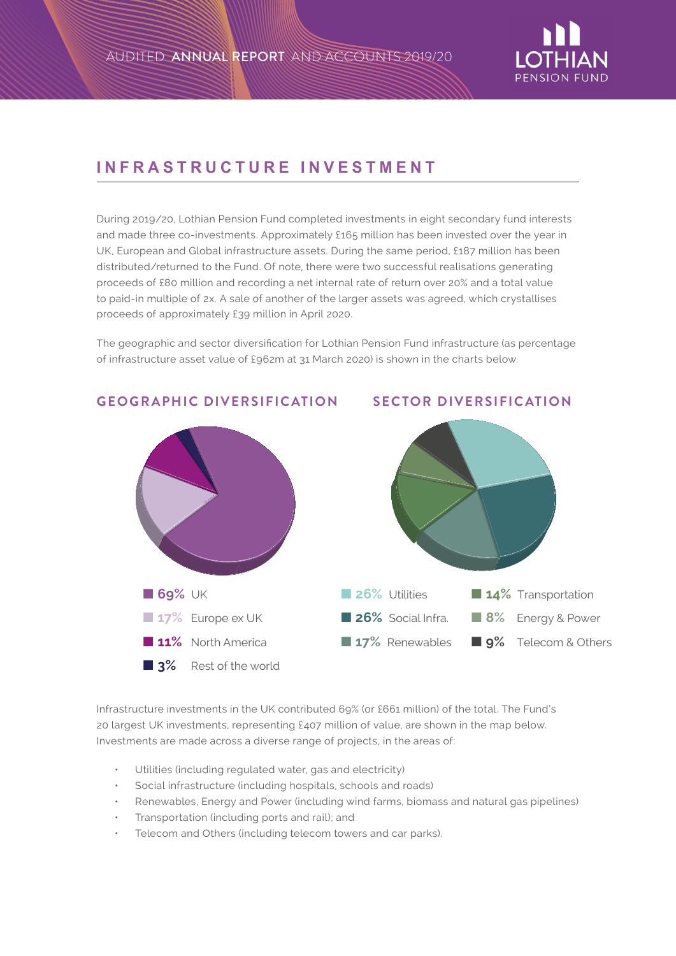

## **INFRASTRUCTURE INVESTMENT**

During 2019/20, Lothian Pension Fund completed investments in eight secondary fund interests and made three co-investments. Approximately £165 million has been invested over the year in UK, European and Global infrastructure assets. During the same period, £187 million has been distributed/returned to the Fund. Of note, there were two successful realisations generating proceeds of £80 million and recording a net internal rate of return over 20% and a total value to paid-in multiple of 2x. A sale of another of the larger assets was agreed, which crystallises proceeds of approximately £39 million in April 2020.

The geographic and sector diversification for Lothian Pension Fund infrastructure (as percentage of infrastructure asset value of £962m at 31 March 2020) is shown in the charts below.



## **GEOGRAPHIC DIVERSIFICATION SECTOR DIVERSIFICATION**

Infrastructure investments in the UK contributed 69% (or £661 million) of the total. The Fund's 20 largest UK investments, representing £407 million of value, are shown in the map below. Investments are made across a diverse range of projects, in the areas of:

- Utilities (including regulated water, gas and electricity)
- Social infrastructure (including hospitals, schools and roads)
- Renewables, Energy and Power (including wind farms, biomass and natural gas pipelines)
- Transportation (including ports and rail); and
- Telecom and Others (including telecom towers and car parks).